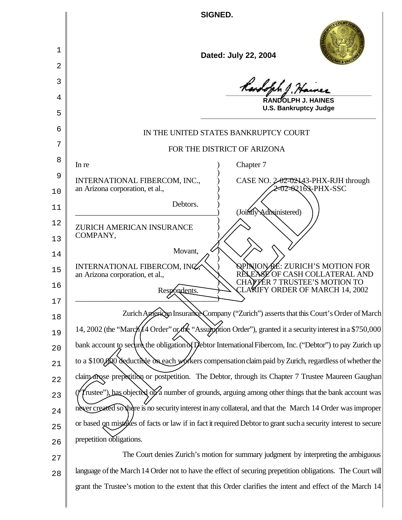**SIGNED.**

 $\sqrt{2}$ 

║

| 1        | Dated: July 22, 2004                                                                                                                       |
|----------|--------------------------------------------------------------------------------------------------------------------------------------------|
| 2        |                                                                                                                                            |
| 3        | Rendolph J. Hainer                                                                                                                         |
| 4        | <b>RANDOLPH J. HAINES</b><br><b>U.S. Bankruptcy Judge</b>                                                                                  |
| 5        |                                                                                                                                            |
| 6        | IN THE UNITED STATES BANKRUPTCY COURT                                                                                                      |
| 7        | FOR THE DISTRICT OF ARIZONA                                                                                                                |
| 8        | In re<br>Chapter 7                                                                                                                         |
| 9<br>10  | INTERNATIONAL FIBERCOM, INC.,<br>CASE NO. 2-02-0243-PHX-RJH through<br>E02=02103-PHX-SSC<br>an Arizona corporation, et al.,                |
|          | Debtors.                                                                                                                                   |
| 11       | (Jointly Administered)                                                                                                                     |
| 12<br>13 | <b>ZURICH AMERICAN INSURANCE</b><br>COMPANY,                                                                                               |
| 14       | Movant,                                                                                                                                    |
| 15       | QPINIONACE: ZURICH'S MOTION FOR<br>INTERNATIONAL FIBERCOM, INC.<br><b>SLEASE OF CASH COLLATERAL AND</b><br>an Arizona corporation, et al., |
| 16       | CHAPTER 7 TRUSTEE'S MOTION TO<br>CLAKIFY ORDER OF MARCH 14, 2002<br>Respondents.                                                           |
| 17       |                                                                                                                                            |
| 18       | Zurich American Insurance Company ("Zurich") asserts that this Court's Order of March                                                      |
| 19       | 14, 2002 (the "March 4 Order" or the "Assumption Order"), granted it a security interest in a \$750,000                                    |
| 20       | bank account to secure the obligation of Debtor International Fibercom, Inc. ("Debtor") to pay Zurich up                                   |
| 21       | to a \$100,000 deductible on each workers compensation claim paid by Zurich, regardless of whether the                                     |
| 22       | claim) axose prepetition or postpetition. The Debtor, through its Chapter 7 Trustee Maureen Gaughan                                        |
| 23       | frustee"), has objected on a number of grounds, arguing among other things that the bank account was                                       |
| 24       | never created so there is no security interest in any collateral, and that the March 14 Order was improper                                 |
| 25       | or based on mistakes of facts or law if in fact it required Debtor to grant such a security interest to secure                             |
| 26       | prepetition diligations.                                                                                                                   |
| 27       | The Court denies Zurich's motion for summary judgment by interpreting the ambiguous                                                        |
| 28       | language of the March 14 Order not to have the effect of securing prepetition obligations. The Court will                                  |

grant the Trustee's motion to the extent that this Order clarifies the intent and effect of the March 14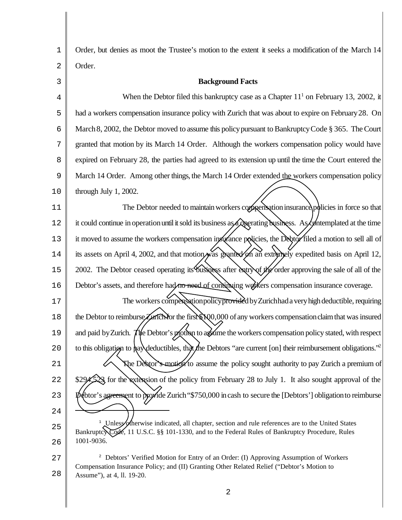1 2 Order, but denies as moot the Trustee's motion to the extent it seeks a modification of the March 14 Order.

| 3  | <b>Background Facts</b>                                                                                                                                                                          |
|----|--------------------------------------------------------------------------------------------------------------------------------------------------------------------------------------------------|
| 4  | When the Debtor filed this bankruptcy case as a Chapter $111$ on February 13, 2002, it                                                                                                           |
| 5  | had a workers compensation insurance policy with Zurich that was about to expire on February 28. On                                                                                              |
| 6  | March 8, 2002, the Debtor moved to assume this policy pursuant to Bankruptcy Code § 365. The Court                                                                                               |
| 7  | granted that motion by its March 14 Order. Although the workers compensation policy would have                                                                                                   |
| 8  | expired on February 28, the parties had agreed to its extension up until the time the Court entered the                                                                                          |
| 9  | March 14 Order. Among other things, the March 14 Order extended the workers compensation policy                                                                                                  |
| 10 | through July 1, 2002.                                                                                                                                                                            |
| 11 | The Debtor needed to maintain workers compensation insurance policies in force so that                                                                                                           |
| 12 | it could continue in operation until it sold its business as poperating business. As contemplated at the time                                                                                    |
| 13 | it moved to assume the workers compensation in surfance policies, the Debtor filed a motion to sell all of                                                                                       |
| 14 | its assets on April 4, 2002, and that motion was granted on an extremely expedited basis on April 12,                                                                                            |
| 15 | 2002. The Debtor ceased operating its business after entry of the order approving the sale of all of the                                                                                         |
| 16 | Debtor's assets, and therefore had no need of contributing workers compensation insurance coverage.                                                                                              |
| 17 | The workers compensation policy provided by Zurich had a very high deductible, requiring                                                                                                         |
| 18 | the Debtor to reimburse Zarich for the first \$100,000 of any workers compensation claim that was insured                                                                                        |
| 19 | and paid by Zurich. The Debtor's motion to assume the workers compensation policy stated, with respect                                                                                           |
| 20 | to this obligation to pay deductibles, that the Debtors "are current [on] their reimbursement obligations."                                                                                      |
| 21 | Note Debtor's motion to assume the policy sought authority to pay Zurich a premium of                                                                                                            |
| 22 | $\frac{1}{2}$ for the extension of the policy from February 28 to July 1. It also sought approval of the                                                                                         |
| 23 | be btor's agreement to provide Zurich "\$750,000 in cash to secure the [Debtors'] obligation to reimburse                                                                                        |
| 24 |                                                                                                                                                                                                  |
| 25 | Unless otherwise indicated, all chapter, section and rule references are to the United States<br>Bankruptcy Code, 11 U.S.C. §§ 101-1330, and to the Federal Rules of Bankruptcy Procedure, Rules |
| 26 | 1001-9036.                                                                                                                                                                                       |
| 27 | <sup>2</sup> Debtors' Verified Motion for Entry of an Order: (I) Approving Assumption of Workers<br>Compensation Insurance Policy; and (II) Granting Other Related Relief ("Debtor's Motion to   |

28 Assume"), at 4, ll. 19-20.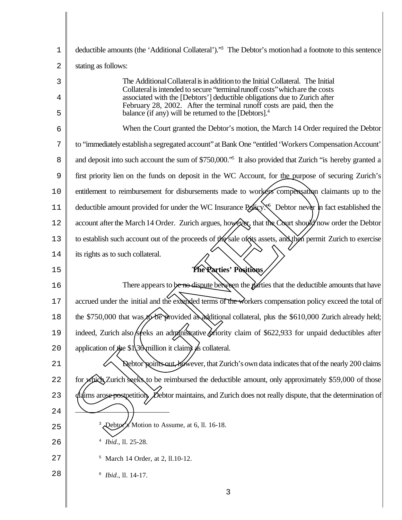| $\mathbf 1$ | deductible amounts (the 'Additional Collateral')." <sup>3</sup> The Debtor's motion had a footnote to this sentence                                             |
|-------------|-----------------------------------------------------------------------------------------------------------------------------------------------------------------|
| 2           | stating as follows:                                                                                                                                             |
| 3           | The Additional Collateral is in addition to the Initial Collateral. The Initial<br>Collateral is intended to secure "terminal runoff costs" which are the costs |
| 4           | associated with the [Debtors'] deductible obligations due to Zurich after<br>February 28, 2002. After the terminal runoff costs are paid, then the              |
| 5           | balance (if any) will be returned to the [Debtors]. $4$                                                                                                         |
| 6           | When the Court granted the Debtor's motion, the March 14 Order required the Debtor                                                                              |
| 7           | to "immediately establish a segregated account" at Bank One "entitled 'Workers Compensation Account"                                                            |
| 8           | and deposit into such account the sum of \$750,000. <sup>55</sup> It also provided that Zurich "is hereby granted a                                             |
| 9           | first priority lien on the funds on deposit in the WC Account, for the purpose of securing Zurich's                                                             |
| 10          | entitlement to reimbursement for disbursements made to workers compensation claimants up to the                                                                 |
| 11          | deductible amount provided for under the WC Insurance policy. Debtor never in fact established the                                                              |
| 12          | account after the March 14 Order. Zurich argues, however that the Court should now order the Debtor                                                             |
| 13          | to establish such account out of the proceeds of the sale of its assets, and then permit Zurich to exercise                                                     |
| 14          | its rights as to such collateral.                                                                                                                               |
| 15          | The Parties' Positions                                                                                                                                          |
| 16          | There appears to be no dispute between the parties that the deductible amounts that have                                                                        |
| 17          | accrued under the initial and the extended terms of the workers compensation policy exceed the total of                                                         |
| 18          | the \$750,000 that was to be provided a additional collateral, plus the \$610,000 Zurich already held;                                                          |
| 19          | indeed, Zurich also/seeks an administrative priority claim of \$622,933 for unpaid deductibles after                                                            |
| 20          | application of the \$1\36\million it claims $\frac{1}{2}$ s collateral.                                                                                         |
| 21          | Debtor points out, however, that Zurich's own data indicates that of the nearly 200 claims                                                                      |
| 22          | for which Zurich seeks to be reimbursed the deductible amount, only approximately \$59,000 of those                                                             |
| 23          | $\sharp$ laims arose postpetition. Debtor maintains, and Zurich does not really dispute, that the determination of                                              |
| 24          |                                                                                                                                                                 |
| 25          | Debtor's Motion to Assume, at 6, ll. 16-18.                                                                                                                     |
| 26          |                                                                                                                                                                 |
|             | Ibid., 11. 25-28.                                                                                                                                               |
| 27          | <sup>5</sup> March 14 Order, at 2, 11.10-12.                                                                                                                    |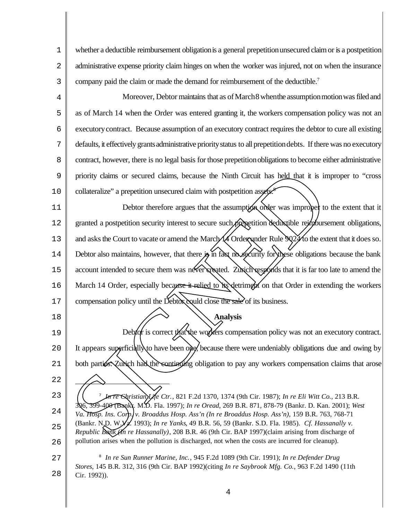1 2 3 whether a deductible reimbursement obligation is a general prepetition unsecured claim or is a postpetition administrative expense priority claim hinges on when the worker was injured, not on when the insurance company paid the claim or made the demand for reimbursement of the deductible.<sup>7</sup>

4 5 6 7 8 9 10 Moreover, Debtor maintains that as of March 8 when the assumption motion was filed and as of March 14 when the Order was entered granting it, the workers compensation policy was not an executorycontract. Because assumption of an executory contract requires the debtor to cure all existing defaults, it effectively grants administrative priority status to all prepetition debts. If there was no executory contract, however, there is no legal basis forthose prepetitionobligations to become either administrative priority claims or secured claims, because the Ninth Circuit has held that it is improper to "cross collateralize" a prepetition unsecured claim with postpetition assets.

11 12 13 14 15 16 17 Debtor therefore argues that the assumption order was improper to the extent that it granted a postpetition security interest to secure such prepetition deductible reinfluorsement obligations, and asks the Court to vacate or amend the March  $\sqrt{4}$  Order under Rule  $\sqrt{24}$  to the extent that it does so. Debtor also maintains, however, that there  $\hat{\mathcal{B}}$  in fact no security for these obligations because the bank account intended to secure them was never executed. Zurich responds that it is far too late to amend the March 14 Order, especially because it relied to its detriment on that Order in extending the workers compensation policy until the Debtor could close the sale of its business. priority claims or secured claims, because the Ninth Circuit has held that it is im<br>collateralize" a prepetition unsecured claim with postpetition assumes<br>Debtor therefore argues that the assumption offer was improper<br>gra

18

19  $2.0$ 21 22 23 24 25 7 *In re Christian Life Ctr.*, 821 F.2d 1370, 1374 (9th Cir. 1987); *In re Eli Witt Co.*, 213 B.R. 396, 399-400 (Bankr. M.D. Fla. 1997); *In re Oread*, 269 B.R. 871, 878-79 (Bankr. D. Kan. 2001); *West Va. Hosp. Ins. Corp. v. Broaddus Hosp. Ass'n (In re Broaddus Hosp. Ass'n)*, 159 B.R. 763, 768-71 (Bankr. N.D. W.Va. 1993); *In re Yanks*, 49 B.R. 56, 59 (Bankr. S.D. Fla. 1985). *Cf. Hassanally v.* Debtor is correct that the workers compensation policy was not an executory contract. It appears superficially to have been one, because there were undeniably obligations due and owing by both parties. Zurich had the continuing obligation to pay any workers compensation claims that arose

**Analysis**

26 *Republic Bank (In re Hassanally)*, 208 B.R. 46 (9th Cir. BAP 1997)(claim arising from discharge of pollution arises when the pollution is discharged, not when the costs are incurred for cleanup).

27 28 8 *In re Sun Runner Marine, Inc.*, 945 F.2d 1089 (9th Cir. 1991); *In re Defender Drug Stores*, 145 B.R. 312, 316 (9th Cir. BAP 1992)(citing *In re Saybrook Mfg. Co.*, 963 F.2d 1490 (11th Cir. 1992)).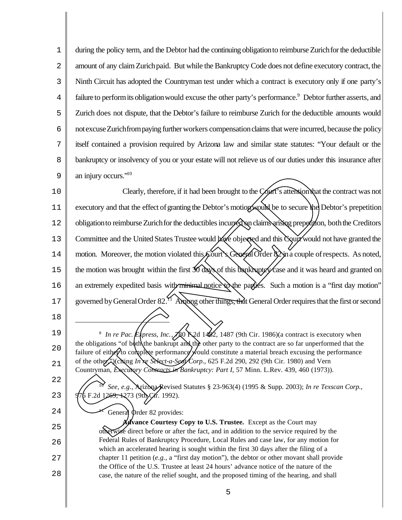1 2 3 4 5 6 7 8 9 during the policy term, and the Debtor had the continuing obligation to reimburse Zurich for the deductible amount of any claimZurichpaid. But while the Bankruptcy Code does not define executory contract, the Ninth Circuit has adopted the Countryman test under which a contract is executory only if one party's failure to perform its obligation would excuse the other party's performance.<sup>9</sup> Debtor further asserts, and Zurich does not dispute, that the Debtor's failure to reimburse Zurich for the deductible amounts would not excuse Zurich from paying further workers compensation claims that were incurred, because the policy itself contained a provision required by Arizona law and similar state statutes: "Your default or the bankruptcy or insolvency of you or your estate will not relieve us of our duties under this insurance after an injury occurs."<sup>10</sup>

10 11 12 13 14 15 16 17 Clearly, therefore, if it had been brought to the Court's attentionthat the contract was not executory and that the effect of granting the Debtor's motion would be to secure the Debtor's prepetition obligation to reimburse Zurich for the deductibles incurred on claims arising prepetition, both the Creditors Committee and the United States Trustee would have objected and this Court would not have granted the motion. Moreover, the motion violated this Court's General Order  $2$  in a couple of respects. As noted, the motion was brought within the first 30 days of this bankruptcles and it was heard and granted on an extremely expedited basis with minimal notice to the parties. Such a motion is a "first day motion" governed by General Order 82.<sup>41</sup> Among other things, that General Order requires that the first or second an injury occurs.<sup>1910</sup><br>Clearly, therefore, if it had been brought to the **Corri<sup>c</sup>**s attention that the executory and that the effect of graning the Debtor's motiographials be to secure the Debtes<br>obligation to reimburse

18

19

 $20^{\circ}$ 

21

<sup>9</sup> In re Pac. Express, Inc., 780 F.2d 1482, 1487 (9th Cir. 1986)(a contract is executory when the obligations "of both the bankrupt and the other party to the contract are so far unperformed that the failure of either to complete performance would constitute a material breach excusing the performance of the other.")(citing *In re Select-a-Sedt/Corp.*, 625 F.2d 290, 292 (9th Cir. 1980) and Vern Countryman, *Executory Contracts in Bankruptcy: Part I*, 57 Minn. L.Rev. 439, 460 (1973)).

- 22
- 23

24

10 *See, e.g.*, Arizona Revised Statutes § 23-963(4) (1995 & Supp. 2003); *In re Texscan Corp.*, F.2d  $1269, 1273$  (9th Cir. 1992).

General Order 82 provides:

25 26 27 28 **Avance Courtesy Copy to U.S. Trustee.** Except as the Court may otherwise direct before or after the fact, and in addition to the service required by the Federal Rules of Bankruptcy Procedure, Local Rules and case law, for any motion for which an accelerated hearing is sought within the first 30 days after the filing of a chapter 11 petition  $(e.g., a "first day motion"),$  the debtor or other movant shall provide the Office of the U.S. Trustee at least 24 hours' advance notice of the nature of the case, the nature of the relief sought, and the proposed timing of the hearing, and shall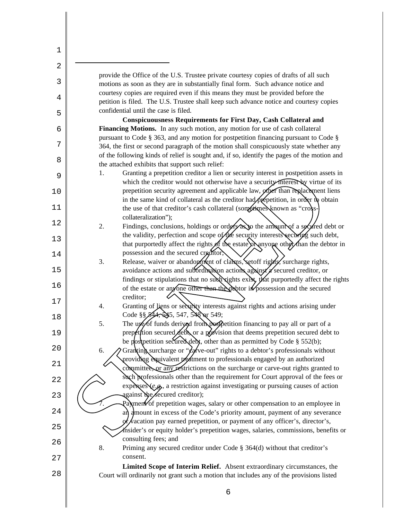1 2 3 4 5 6 7 8 9 10 11 12 13 14 15 16 17 18 19  $2.0$ 21 22 23 24 25 26 27 28 provide the Office of the U.S. Trustee private courtesy copies of drafts of all such motions as soon as they are in substantially final form. Such advance notice and courtesy copies are required even if this means they must be provided before the petition is filed. The U.S. Trustee shall keep such advance notice and courtesy copies confidential until the case is filed. **Conspicuousness Requirements for First Day, Cash Collateral and Financing Motions.** In any such motion, any motion for use of cash collateral pursuant to Code § 363, and any motion for postpetition financing pursuant to Code § 364, the first or second paragraph of the motion shall conspicuously state whether any of the following kinds of relief is sought and, if so, identify the pages of the motion and the attached exhibits that support such relief: 1. Granting a prepetition creditor a lien or security interest in postpetition assets in which the creditor would not otherwise have a security interest by virtue of its prepetition security agreement and applicable law, other than replacement liens in the same kind of collateral as the creditor had prepetition, in order to obtain the use of that creditor's cash collateral (sometimes known as "crosscollateralization"); 2. Findings, conclusions, holdings or orders as to the amount of a secured debt or the validity, perfection and scope of the security interests securing such debt, that purportedly affect the rights of the estate or anyone other than the debtor in possession and the secured creditor; 3. Release, waiver or abandon ment of claims, set of rights, surcharge rights, avoidance actions and subordination actions against a secured creditor, or findings or stipulations that no such rights exist, that purportedly affect the rights of the estate or any one other than the debtor in possession and the secured creditor; 4. Granting of fiens or security interests against rights and actions arising under Code §§ 544, 545, 547, 548 or 549; 5. The use of funds derived from postpetition financing to pay all or part of a prepetition secured debt, or a provision that deems prepetition secured debt to be postpetition secured debt, other than as permitted by Code  $\S$  552(b); 6. A Granting surcharge or " $dy$  ive-out" rights to a debtor's professionals without providing equivalent *treatment* to professionals engaged by an authorized committee, or any restrictions on the surcharge or carve-out rights granted to such professionals other than the requirement for Court approval of the fees or expenses (*e.g.*, a restriction against investigating or pursuing causes of action against the secured creditor);  $Pa$  ment of prepetition wages, salary or other compensation to an employee in an amount in excess of the Code's priority amount, payment of any severance  $\sqrt{x}$  acation pay earned prepetition, or payment of any officer's, director's, insider's or equity holder's prepetition wages, salaries, commissions, benefits or consulting fees; and 8. Priming any secured creditor under Code § 364(d) without that creditor's consent. **Limited Scope of Interim Relief.** Absent extraordinary circumstances, the Court will ordinarily not grant such a motion that includes any of the provisions listed 1. Granting a prepetition creditor a lien or security interest in postpetition associates which the receivor would not observed that a security interest with the same kind of collateral as the creditor had properties with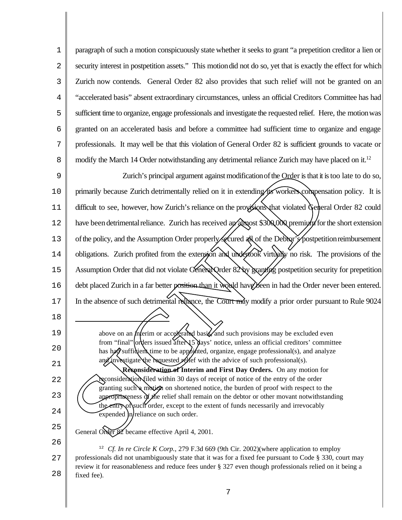1 2 3 4 5 6 7 8 paragraph of such a motion conspicuously state whether it seeks to grant "a prepetition creditor a lien or security interest in postpetition assets." This motion did not do so, yet that is exactly the effect for which Zurich now contends. General Order 82 also provides that such relief will not be granted on an "accelerated basis" absent extraordinary circumstances, unless an official Creditors Committee has had sufficient time to organize, engage professionals and investigate the requested relief. Here, the motionwas granted on an accelerated basis and before a committee had sufficient time to organize and engage professionals. It may well be that this violation of General Order 82 is sufficient grounds to vacate or modify the March 14 Order notwithstanding any detrimental reliance Zurich may have placed on it.<sup>12</sup>

9 10 11 12 13 14 15 16 17 Zurich's principal argument against modification of the Order is that it is too late to do so, primarily because Zurich detrimentally relied on it in extending its workers compensation policy. It is difficult to see, however, how Zurich's reliance on the provisions that violated General Order 82 could have been detrimental reliance. Zurich has received an almost \$300,000 premium for the short extension of the policy, and the Assumption Order properly secured all of the Debtor's postpetition reimbursement obligations. Zurich profited from the extension and undertook virtually no risk. The provisions of the Assumption Order that did not violate General Order 82 by granting postpetition security for prepetition debt placed Zurich in a far better position than it would have been in had the Order never been entered. In the absence of such detrimental reliance, the Court may modify a prior order pursuant to Rule 9024 Zurich's principal argument against modification of the Order is that it is<br>primarily because Zurich detrimentally relied on it in extending the worken compense<br>difficult to see, however, how Zurich's reliance on the prop

- 19  $2.0$ 21 22 above on an *interim* or accelerated basis and such provisions may be excluded even from "final" orders issued after 15 days' notice, unless an official creditors' committee has had suffidient time to be appointed, organize, engage professional(s), and analyze and investigate the requested relief with the advice of such professional(s). **Reconsideration of Interim and First Day Orders.** On any motion for reconsideration filed within 30 days of receipt of notice of the entry of the order granting such a motion on shortened notice, the burden of proof with respect to the
	- appropriateness of the relief shall remain on the debtor or other movant notwithstanding the entry of such order, except to the extent of funds necessarily and irrevocably  $expended \in \text{h}$  reliance on such order.
- 25 26 General Oxder 82 became effective April 4, 2001.

18

23

24

27 28 <sup>12</sup> *Cf. In re Circle K Corp.*, 279 F.3d 669 (9th Cir. 2002) (where application to employ professionals did not unambiguously state that it was for a fixed fee pursuant to Code § 330, court may review it for reasonableness and reduce fees under § 327 even though professionals relied on it being a fixed fee).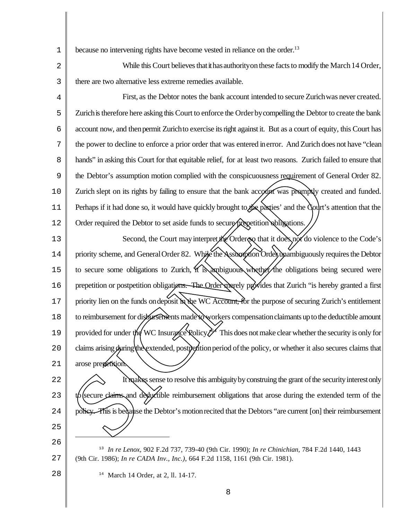1 because no intervening rights have become vested in reliance on the order.<sup>13</sup>

2 3 While this Court believes that it has authority on these facts to modify the March 14 Order, there are two alternative less extreme remedies available.

4 5 6 7 8 9 10 11 12 First, as the Debtor notes the bank account intended to secure Zurichwas never created. Zurich is therefore here asking this Court to enforce the Order by compelling the Debtor to create the bank account now, and thenpermit Zurichto exercise itsright against it. But as a court of equity, this Court has the power to decline to enforce a prior order that was entered inerror. And Zurich does not have "clean hands" in asking this Court for that equitable relief, for at least two reasons. Zurich failed to ensure that the Debtor's assumption motion complied with the conspicuousness requirement of General Order 82. Zurich slept on its rights by failing to ensure that the bank account was promptly created and funded. Perhaps if it had done so, it would have quickly brought to the parties' and the Court's attention that the Order required the Debtor to set aside funds to secure prepetition obligations.

13 14 15 16 17 18 19  $2.0$ 21 Second, the Court may interpret the Order so that it does not do violence to the Code's priority scheme, and General Order 82. While the Assumption Order unambiguously requires the Debtor to secure some obligations to Zurich, it is ambiguous whether the obligations being secured were prepetition or postpetition obligations. The Order merely provides that Zurich "is hereby granted a first priority lien on the funds on deposit in the WC Account, for the purpose of securing Zurich's entitlement to reimbursement for disbursements made to workers compensation claimants up to the deductible amount provided for under the WC Insurance Rolicy.<sup> $\frac{1}{4}$ </sup> This does not make clear whether the security is only for claims arising *during* the extended, postpetition period of the policy, or whether it also secures claims that arose prepetition. the Debtor's assumption motion complied with the conspicuousness requirement of General Order 82.<br>
Zurich slept on its rights by finiling to ensure that the bank account was promptly created and finded.<br>
Perhaps if it had

22 23  $2.4$ 25 It makes sense to resolve this ambiguity by construing the grant of the security interest only secure claims and deductible reimbursement obligations that arose during the extended term of the

26 27 13 *In re Lenox*, 902 F.2d 737, 739-40 (9th Cir. 1990); *In re Chinichian*, 784 F.2d 1440, 1443 (9th Cir. 1986); *In re CADA Inv., Inc.)*, 664 F.2d 1158, 1161 (9th Cir. 1981).

<sup>14</sup> March 14 Order, at 2, ll. 14-17.

28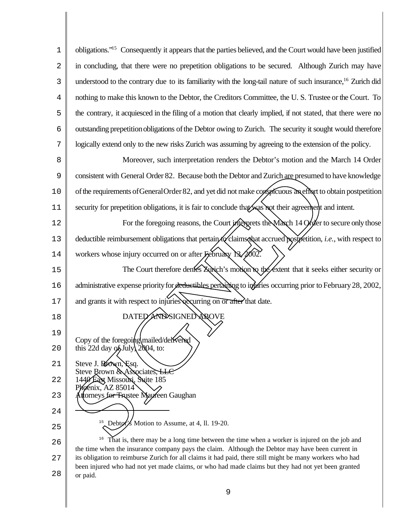1 2 3 4 5 6 7 obligations."<sup>15</sup> Consequently it appears that the parties believed, and the Court would have been justified in concluding, that there were no prepetition obligations to be secured. Although Zurich may have understood to the contrary due to its familiarity with the long-tail nature of such insurance,<sup>16</sup> Zurich did nothing to make this known to the Debtor, the Creditors Committee, the U. S. Trustee or the Court. To the contrary, it acquiesced in the filing of a motion that clearly implied, if not stated, that there were no outstanding prepetitionobligations ofthe Debtor owing to Zurich. The security it sought would therefore logically extend only to the new risks Zurich was assuming by agreeing to the extension of the policy.

8 9 10 11 Moreover, such interpretation renders the Debtor's motion and the March 14 Order consistent with General Order 82. Because both the Debtor and Zurich are presumed to have knowledge ofthe requirements ofGeneralOrder82, and yet did not make conspicuous aneffort to obtain postpetition security for prepetition obligations, it is fair to conclude that was not their agreement and intent. consistent with General Order 82. Because both the Debtor and Zurich are presumed to<br>of the requirements of General Order 82, and yet did not make consider their agreenheit to<br>security for prepetition obligations, it is f

12 13 14 For the foregoing reasons, the Court interprets the Maxch 14 Order to secure only those deductible reimbursement obligations that pertain to claims that accrued postpetition, *i.e.*, with respect to workers whose injury occurred on or after February 13, 2002.

15 16 17 The Court therefore denies  $\Xi$  wich's motion to the extent that it seeks either security or administrative expense priority for deductibles pertaining to injuries occurring prior to February 28, 2002,

- and grants it with respect to injuries recurring on or after that date.
	- DATED AND SIGNED ABOVE
- $2.0$ Copy of the foregoing mailed/delivered this 22d day of July,  $2004$ , to:
- 21 Steve J. Brown, Esq. Steve Brown & Associates, LLC
- 22 1440 East Missouri, Suite 185

18

19

- 23 benix, AZ 85014<br>torneys for Trustee Mayreen Gaughan
- 24 25 <sup>15</sup> Debtor's Motion to Assume, at 4, 11. 19-20.

26 27 28 <sup>16</sup> That is, there may be a long time between the time when a worker is injured on the job and the time when the insurance company pays the claim. Although the Debtor may have been current in its obligation to reimburse Zurich for all claims it had paid, there still might be many workers who had been injured who had not yet made claims, or who had made claims but they had not yet been granted or paid.